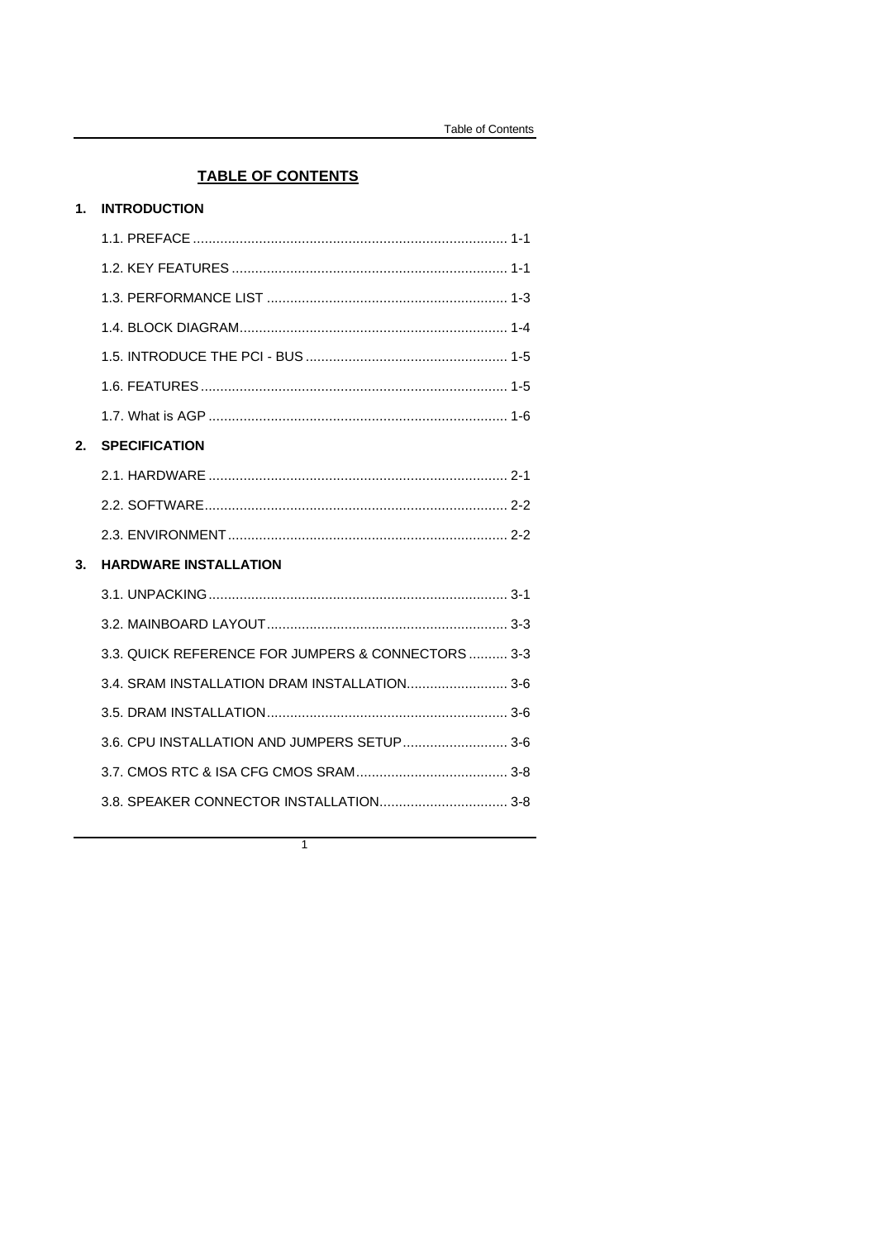# **TABLE OF CONTENTS**

| <b>INTRODUCTION</b><br>$\mathbf 1$ . |  |
|--------------------------------------|--|
|--------------------------------------|--|

| 2. | <b>SPECIFICATION</b>                               |  |
|----|----------------------------------------------------|--|
|    |                                                    |  |
|    |                                                    |  |
|    |                                                    |  |
|    |                                                    |  |
| 3. | <b>HARDWARE INSTALLATION</b>                       |  |
|    |                                                    |  |
|    |                                                    |  |
|    | 3.3. QUICK REFERENCE FOR JUMPERS & CONNECTORS  3-3 |  |
|    | 3.4. SRAM INSTALLATION DRAM INSTALLATION 3-6       |  |
|    |                                                    |  |
|    | 3.6. CPU INSTALLATION AND JUMPERS SETUP 3-6        |  |
|    |                                                    |  |
|    | 3.8. SPEAKER CONNECTOR INSTALLATION 3-8            |  |

 $\overline{1}$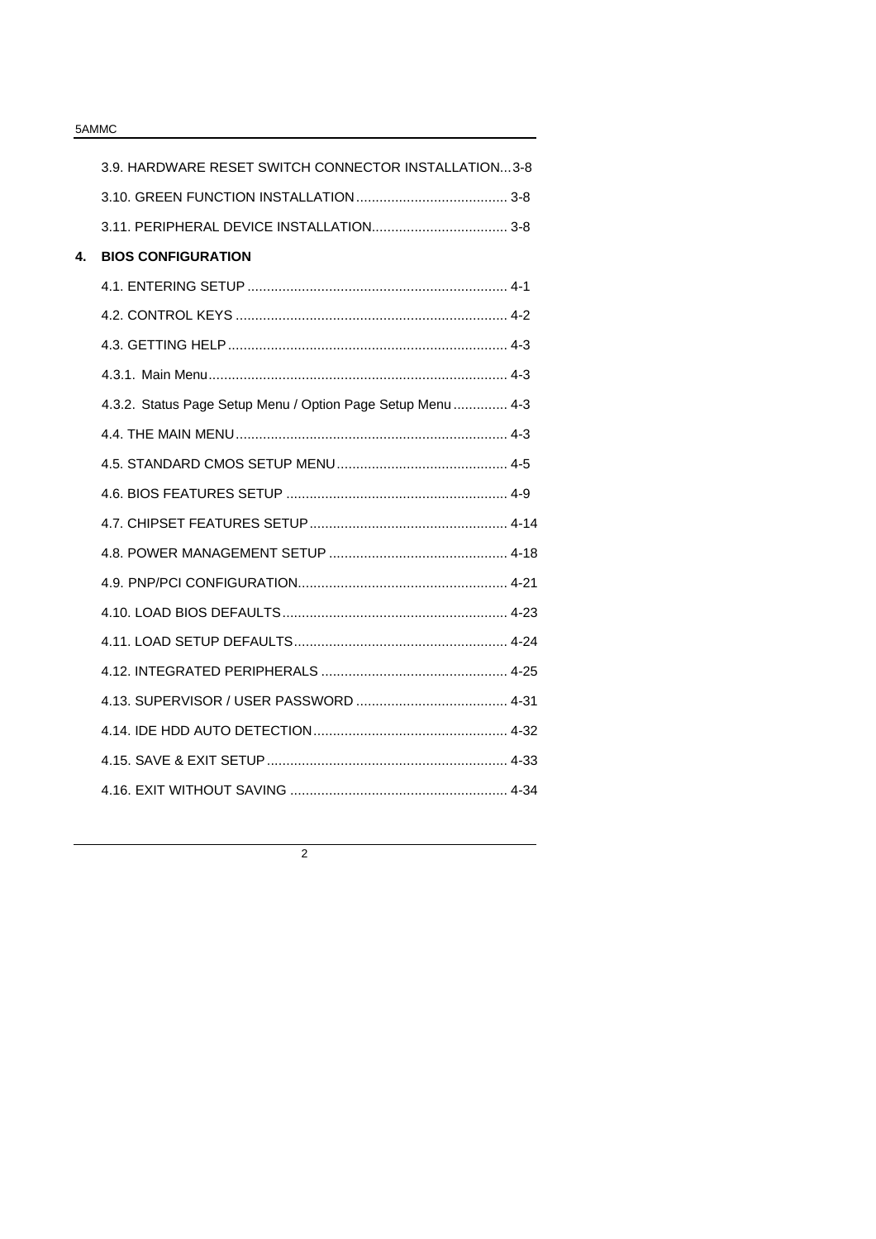|    | 3.9. HARDWARE RESET SWITCH CONNECTOR INSTALLATION3-8        |  |
|----|-------------------------------------------------------------|--|
|    |                                                             |  |
|    |                                                             |  |
| 4. | <b>BIOS CONFIGURATION</b>                                   |  |
|    |                                                             |  |
|    |                                                             |  |
|    |                                                             |  |
|    |                                                             |  |
|    | 4.3.2. Status Page Setup Menu / Option Page Setup Menu  4-3 |  |
|    |                                                             |  |
|    |                                                             |  |
|    |                                                             |  |
|    |                                                             |  |
|    |                                                             |  |
|    |                                                             |  |
|    |                                                             |  |
|    |                                                             |  |
|    |                                                             |  |
|    |                                                             |  |
|    |                                                             |  |
|    |                                                             |  |
|    |                                                             |  |

2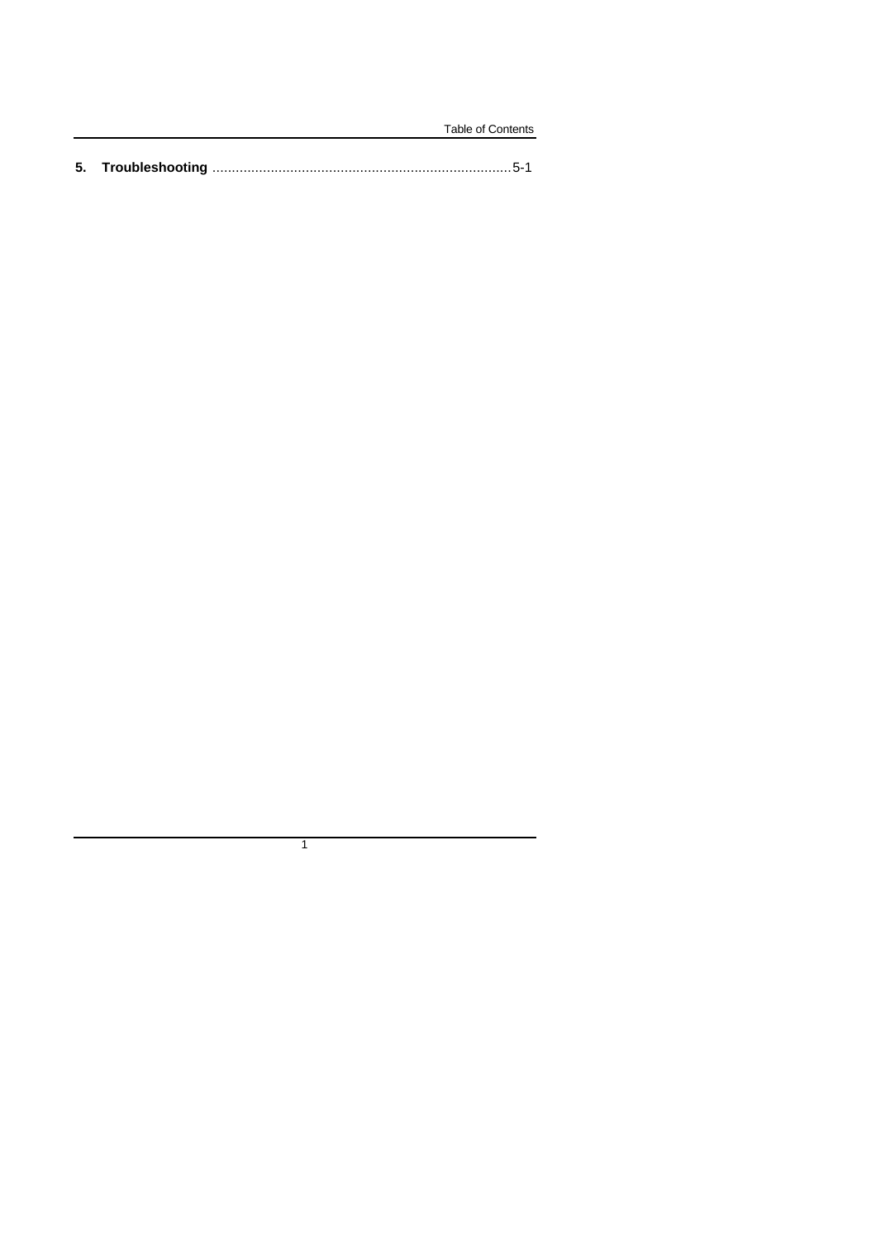|  | Table of Contents |
|--|-------------------|
|  |                   |

 $\overline{1}$ 

L.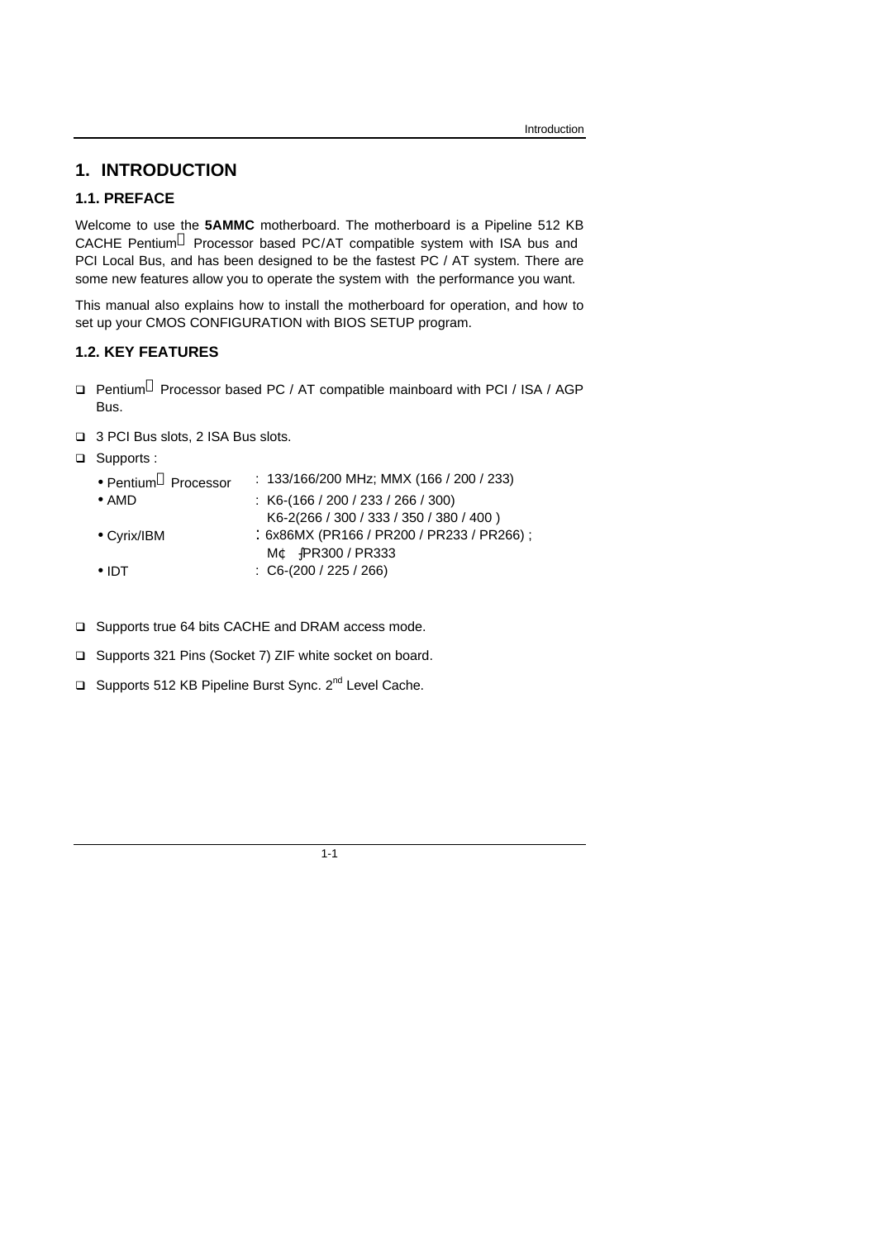# **1. INTRODUCTION**

# **1.1. PREFACE**

Welcome to use the **5AMMC** motherboard. The motherboard is a Pipeline 512 KB CACHE Pentium<sup>®</sup> Processor based PC/AT compatible system with ISA bus and PCI Local Bus, and has been designed to be the fastest PC / AT system. There are some new features allow you to operate the system with the performance you want.

This manual also explains how to install the motherboard for operation, and how to set up your CMOS CONFIGURATION with BIOS SETUP program.

# **1.2. KEY FEATURES**

- □ Pentium<sup>®</sup> Processor based PC / AT compatible mainboard with PCI / ISA / AGP Bus.
- □ 3 PCI Bus slots, 2 ISA Bus slots.
- □ Supports :

| • Pentium <sup>®</sup> Processor | : $133/166/200$ MHz; MMX (166 / 200 / 233) |
|----------------------------------|--------------------------------------------|
| $\bullet$ AMD                    | $: K6-(166/200/233/266/300)$               |
|                                  | K6-2(266 / 300 / 333 / 350 / 380 / 400)    |
| $\bullet$ Cyrix/IBM              | : 6x86MX (PR166 / PR200 / PR233 / PR266) ; |
|                                  | MC PR300/PR333                             |
| $\bullet$ IDT                    | $\therefore$ C6-(200 / 225 / 266)          |

- □ Supports true 64 bits CACHE and DRAM access mode.
- q Supports 321 Pins (Socket 7) ZIF white socket on board.
- □ Supports 512 KB Pipeline Burst Sync. 2<sup>nd</sup> Level Cache.

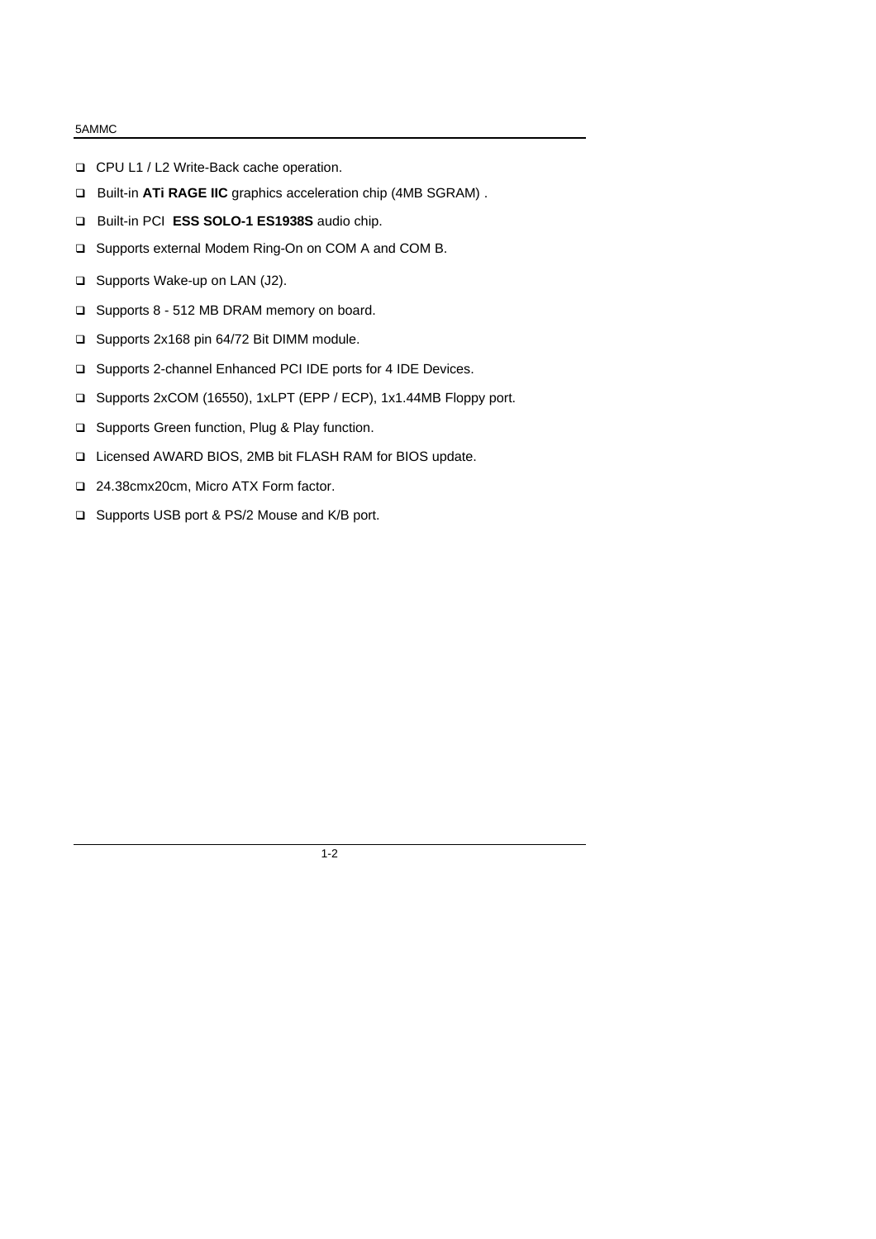- q CPU L1 / L2 Write-Back cache operation.
- □ Built-in **ATi RAGE IIC** graphics acceleration chip (4MB SGRAM).
- q Built-in PCI **ESS SOLO-1 ES1938S** audio chip.
- □ Supports external Modem Ring-On on COM A and COM B.
- □ Supports Wake-up on LAN (J2).
- q Supports 8 512 MB DRAM memory on board.
- q Supports 2x168 pin 64/72 Bit DIMM module.
- □ Supports 2-channel Enhanced PCI IDE ports for 4 IDE Devices.
- q Supports 2xCOM (16550), 1xLPT (EPP / ECP), 1x1.44MB Floppy port.
- □ Supports Green function, Plug & Play function.
- q Licensed AWARD BIOS, 2MB bit FLASH RAM for BIOS update.
- q 24.38cmx20cm, Micro ATX Form factor.
- □ Supports USB port & PS/2 Mouse and K/B port.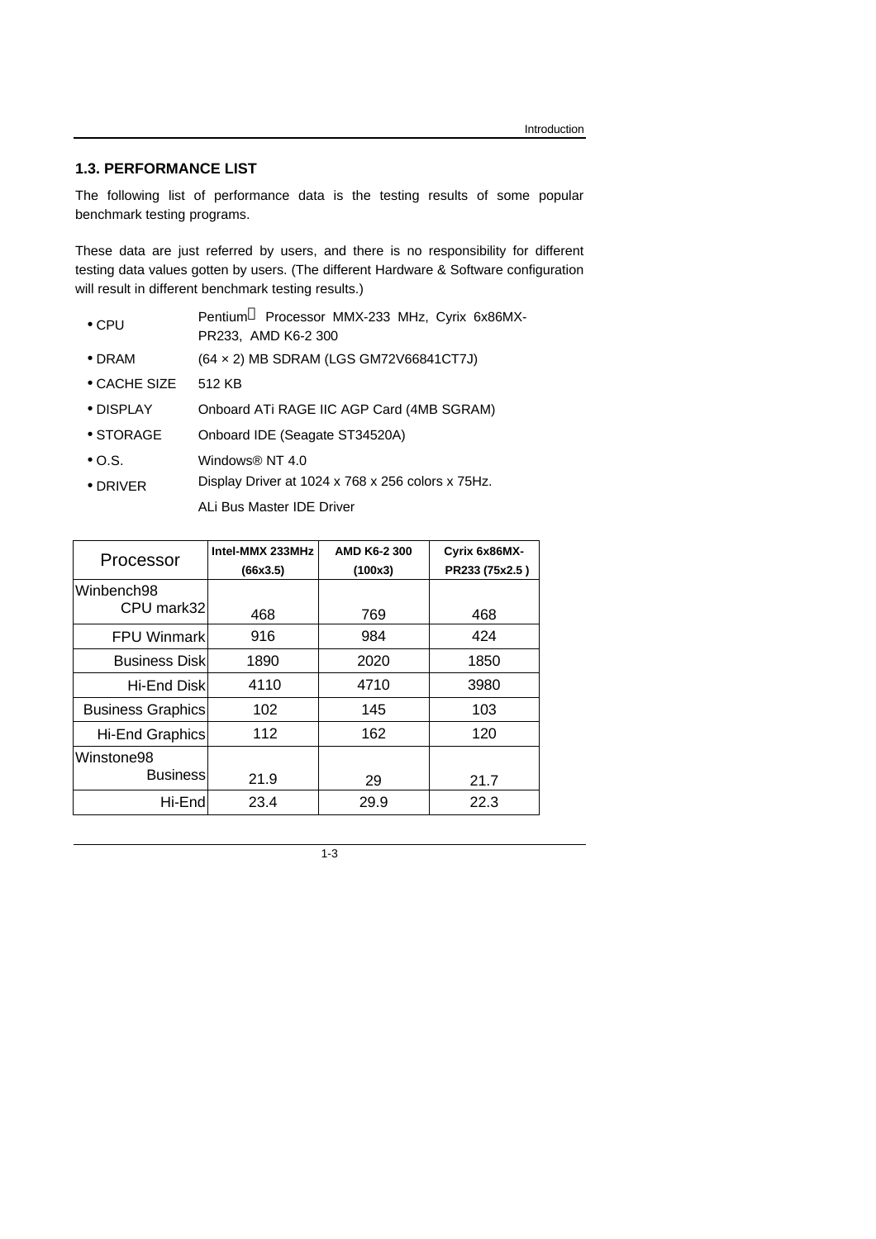# **1.3. PERFORMANCE LIST**

The following list of performance data is the testing results of some popular benchmark testing programs.

These data are just referred by users, and there is no responsibility for different testing data values gotten by users. (The different Hardware & Software configuration will result in different benchmark testing results.)

- CPU Pentium<sup>®</sup> Processor MMX-233 MHz, Cyrix 6x86MX-PR233, AMD K6-2 300
- DRAM (64 × 2) MB SDRAM (LGS GM72V66841CT7J)
- CACHE SIZE 512 KB
- DISPLAY Onboard ATi RAGE IIC AGP Card (4MB SGRAM)
- STORAGE Onboard IDE (Seagate ST34520A)
- O.S. Windows® NT 4.0
- DRIVER Display Driver at 1024 x 768 x 256 colors x 75Hz. ALi Bus Master IDE Driver

| Processor                     | Intel-MMX 233MHz<br>(66x3.5) | AMD K6-2 300<br>(100x3) | Cyrix 6x86MX-<br>PR233 (75x2.5) |
|-------------------------------|------------------------------|-------------------------|---------------------------------|
| Winbench98<br>CPU mark32      | 468                          | 769                     | 468                             |
| <b>FPU Winmark</b>            | 916                          | 984                     | 424                             |
| <b>Business Diskl</b>         | 1890                         | 2020                    | 1850                            |
| Hi-End Diskl                  | 4110                         | 4710                    | 3980                            |
| <b>Business Graphics</b>      | 102                          | 145                     | 103                             |
| Hi-End Graphics               | 112                          | 162                     | 120                             |
| Winstone98<br><b>Business</b> | 21.9                         | 29                      | 21.7                            |
| Hi-End                        | 23.4                         | 29.9                    | 22.3                            |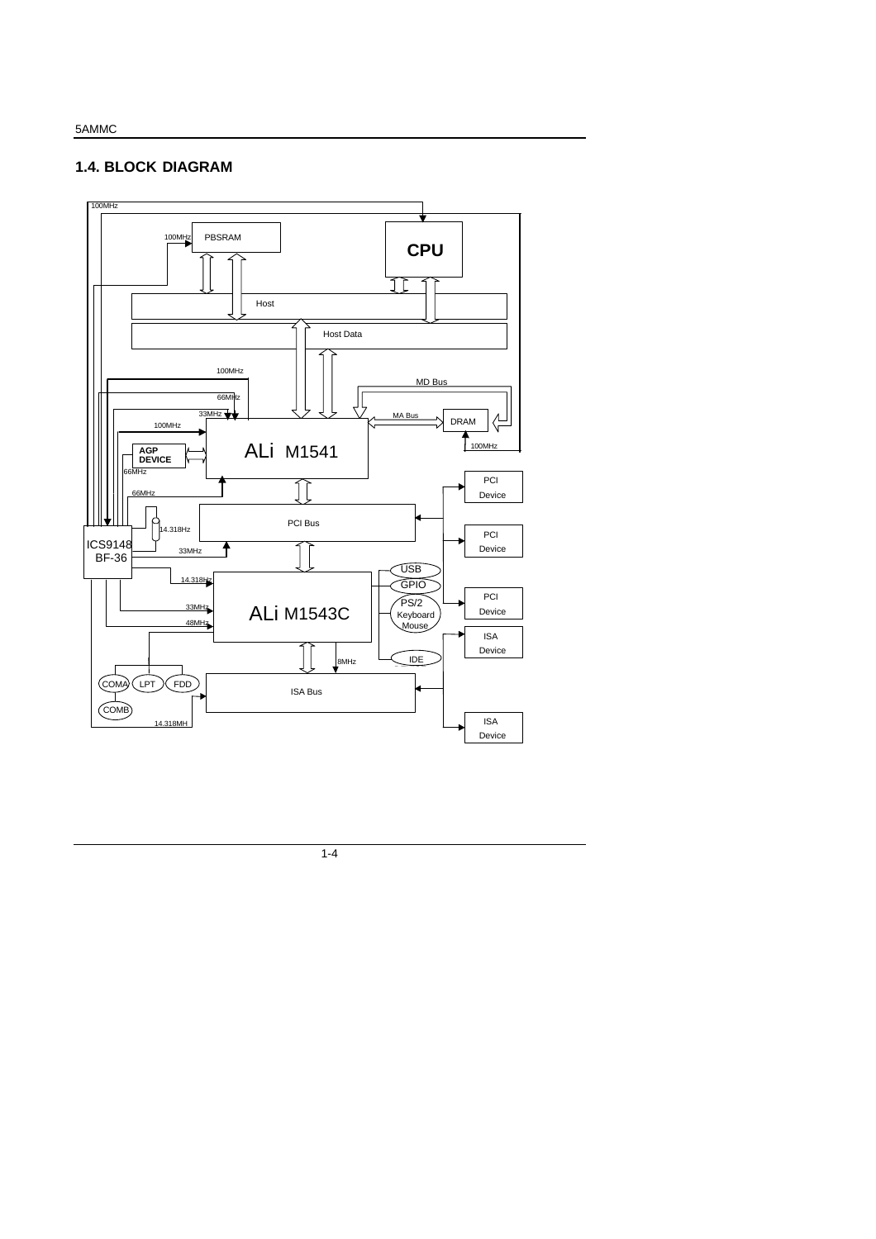# **1.4. BLOCK DIAGRAM**

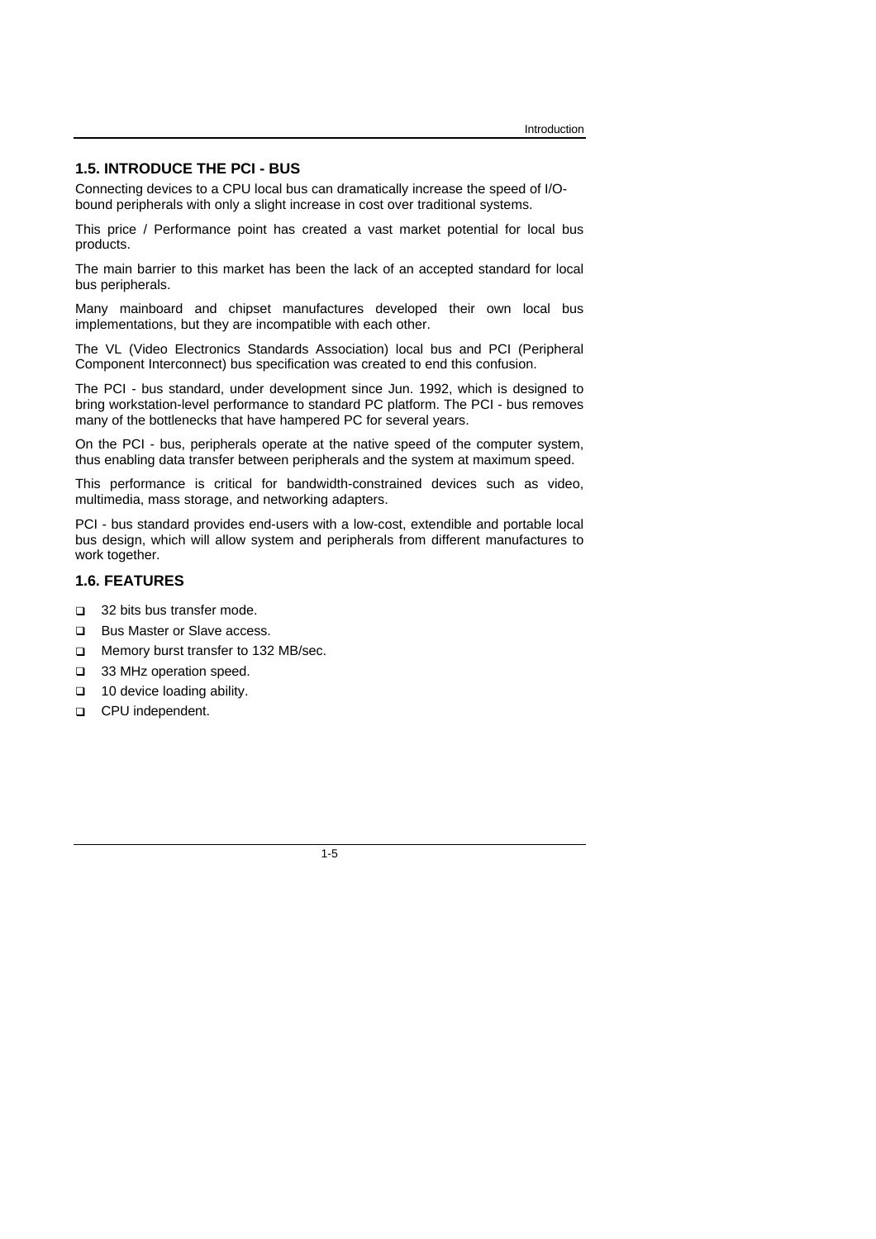#### **1.5. INTRODUCE THE PCI - BUS**

Connecting devices to a CPU local bus can dramatically increase the speed of I/Obound peripherals with only a slight increase in cost over traditional systems.

This price / Performance point has created a vast market potential for local bus products.

The main barrier to this market has been the lack of an accepted standard for local bus peripherals.

Many mainboard and chipset manufactures developed their own local bus implementations, but they are incompatible with each other.

The VL (Video Electronics Standards Association) local bus and PCI (Peripheral Component Interconnect) bus specification was created to end this confusion.

The PCI - bus standard, under development since Jun. 1992, which is designed to bring workstation-level performance to standard PC platform. The PCI - bus removes many of the bottlenecks that have hampered PC for several years.

On the PCI - bus, peripherals operate at the native speed of the computer system, thus enabling data transfer between peripherals and the system at maximum speed.

This performance is critical for bandwidth-constrained devices such as video, multimedia, mass storage, and networking adapters.

PCI - bus standard provides end-users with a low-cost, extendible and portable local bus design, which will allow system and peripherals from different manufactures to work together.

# **1.6. FEATURES**

- □ 32 bits bus transfer mode.
- **Q** Bus Master or Slave access.
- **Q** Memory burst transfer to 132 MB/sec.
- **a** 33 MHz operation speed.
- **q** 10 device loading ability.
- **Q** CPU independent.

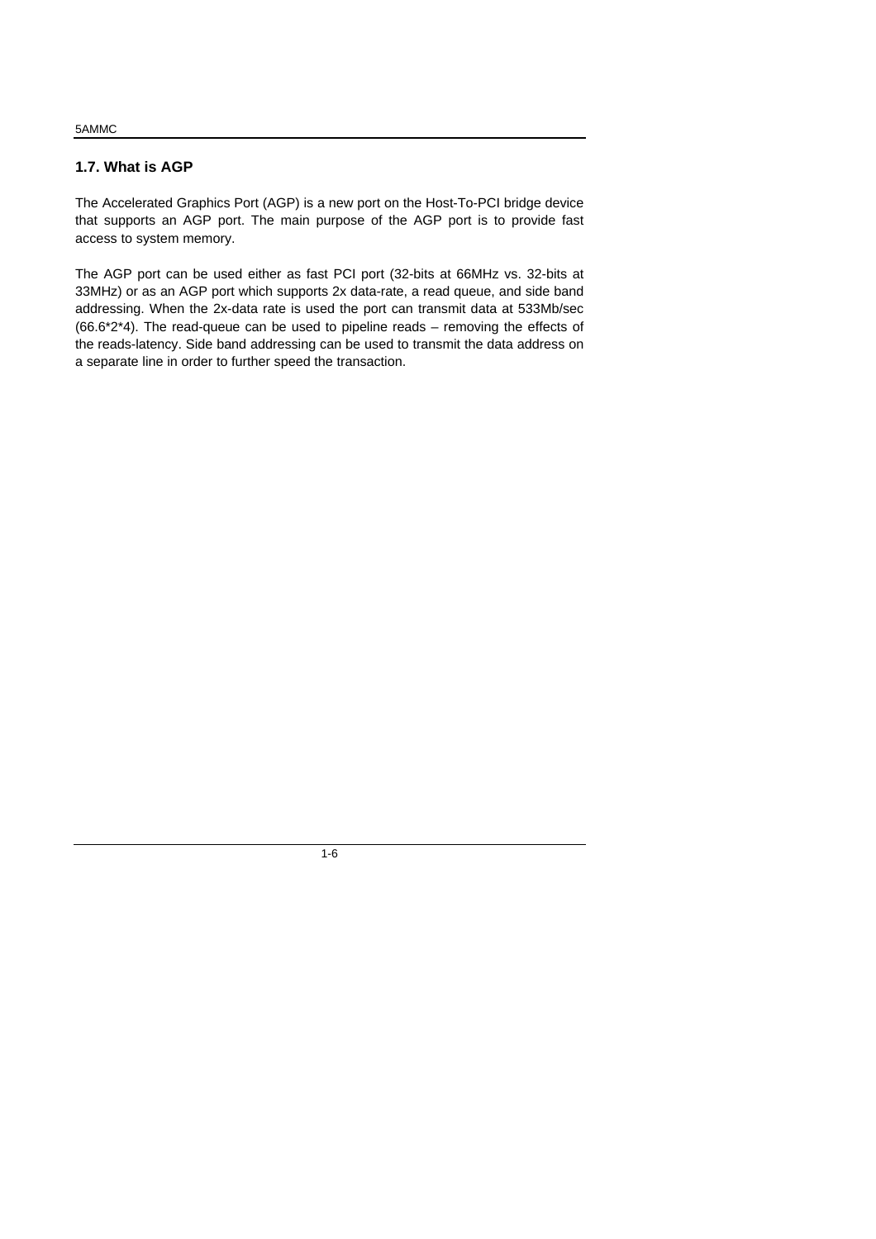# **1.7. What is AGP**

The Accelerated Graphics Port (AGP) is a new port on the Host-To-PCI bridge device that supports an AGP port. The main purpose of the AGP port is to provide fast access to system memory.

The AGP port can be used either as fast PCI port (32-bits at 66MHz vs. 32-bits at 33MHz) or as an AGP port which supports 2x data-rate, a read queue, and side band addressing. When the 2x-data rate is used the port can transmit data at 533Mb/sec  $(66.6*2*4)$ . The read-queue can be used to pipeline reads – removing the effects of the reads-latency. Side band addressing can be used to transmit the data address on a separate line in order to further speed the transaction.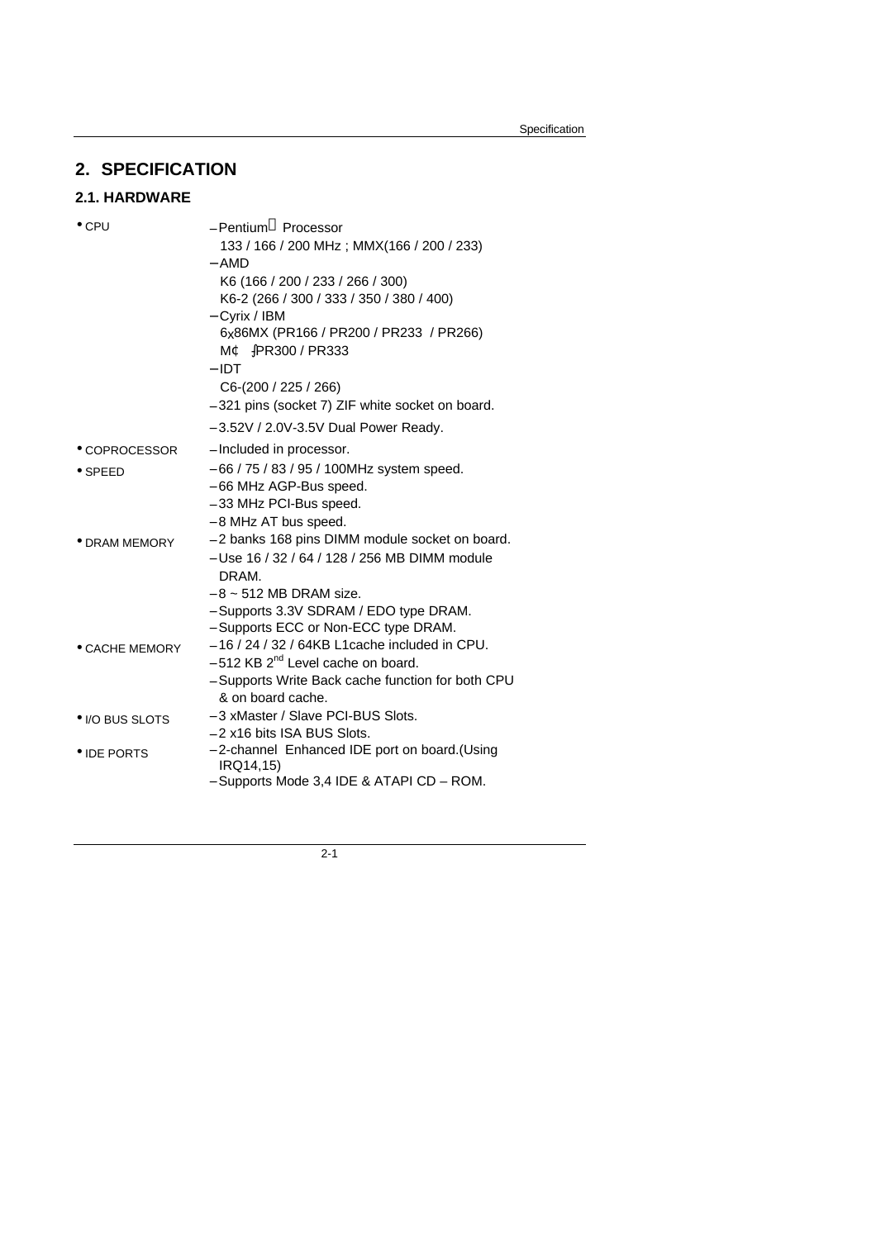# **2. SPECIFICATION**

# **2.1. HARDWARE**

| - Pentium <sup>®</sup> Processor                  |
|---------------------------------------------------|
| 133 / 166 / 200 MHz; MMX(166 / 200 / 233)         |
| – AMD                                             |
| K6 (166 / 200 / 233 / 266 / 300)                  |
| K6-2 (266 / 300 / 333 / 350 / 380 / 400)          |
| - Cyrix / IBM                                     |
| 6x86MX (PR166 / PR200 / PR233 / PR266)            |
| MC -PR300 / PR333                                 |
| $-$ IDT                                           |
| C6-(200 / 225 / 266)                              |
| - 321 pins (socket 7) ZIF white socket on board.  |
| $-3.52V$ / 2.0V-3.5V Dual Power Ready.            |
| - Included in processor.                          |
| - 66 / 75 / 83 / 95 / 100MHz system speed.        |
| - 66 MHz AGP-Bus speed.                           |
| - 33 MHz PCI-Bus speed.                           |
| - 8 MHz AT bus speed.                             |
| - 2 banks 168 pins DIMM module socket on board.   |
| - Use 16 / 32 / 64 / 128 / 256 MB DIMM module     |
| DRAM.                                             |
| $-8 \sim 512$ MB DRAM size.                       |
| - Supports 3.3V SDRAM / EDO type DRAM.            |
| - Supports ECC or Non-ECC type DRAM.              |
| $-16/24/32/64KB$ L1cache included in CPU.         |
| $-512$ KB $2nd$ Level cache on board.             |
| - Supports Write Back cache function for both CPU |
| & on board cache.                                 |
| - 3 xMaster / Slave PCI-BUS Slots.                |
| - 2 x16 bits ISA BUS Slots.                       |
| - 2-channel Enhanced IDE port on board.(Using     |
| IRQ14,15)                                         |
|                                                   |